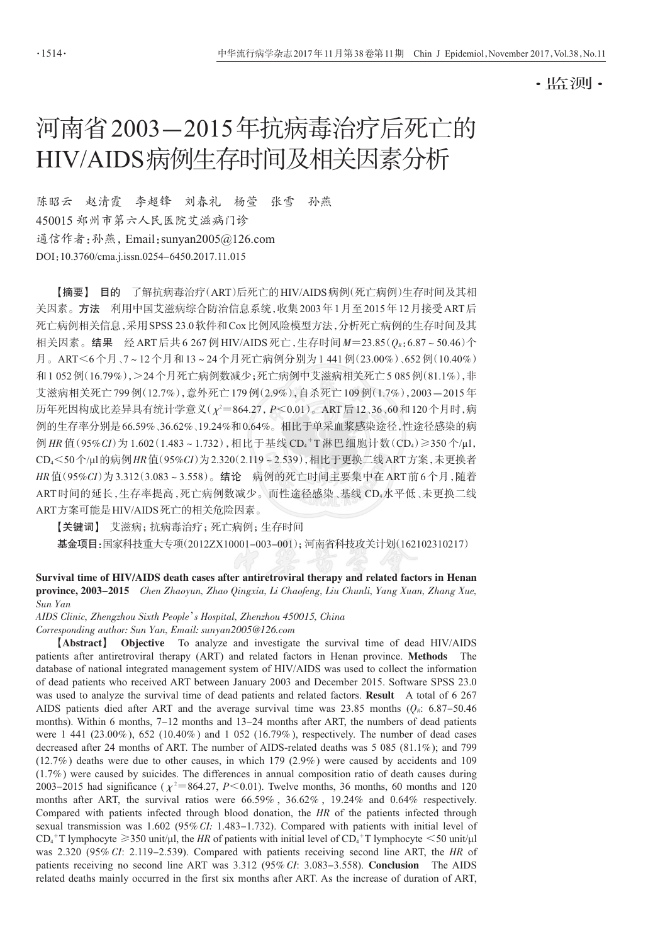- 监测-

# 河南省2003-2015年抗病毒治疗后死亡的 HIV/AIDS病例生存时间及相关因素分析

赵清霞 李超锋 刘春礼 杨萱 张雪 孙燕 陈昭云 450015 郑州市第六人民医院艾滋病门诊 通信作者:孙燕, Email: sunyan2005@126.com DOI: 10.3760/cma.j.issn.0254-6450.2017.11.015

【摘要】 目的 了解抗病毒治疗(ART)后死亡的HIV/AIDS病例(死亡病例)生存时间及其相 关因素。方法 利用中国艾滋病综合防治信息系统,收集2003年1月至2015年12月接受ART后 死亡病例相关信息,采用 SPSS 23.0软件和 Cox 比例风险模型方法,分析死亡病例的生存时间及其 相关因素。结果 经ART后共6267例HIV/AIDS死亡, 生存时间 M=23.85(0g: 6.87~50.46)个 月。ART<6个月、7~12个月和13~24个月死亡病例分别为1441例(23.00%)、652例(10.40%) 和1052例(16.79%), > 24个月死亡病例数减少; 死亡病例中艾滋病相关死亡 5 085例(81.1%), 非 艾滋病相关死亡799例(12.7%), 意外死亡179例(2.9%), 自杀死亡109例(1.7%), 2003-2015年 历年死因构成比差异具有统计学意义( $\chi^2 = 864.27$ ,  $P \le 0.01$ )。ART后12、36、60和120个月时,病 例的生存率分别是66.59%、36.62%、19.24%和0.64%。相比于单采血浆感染途径,性途径感染的病 例 HR 值(95%CI)为 1.602(1.483~1.732),相比于基线 CD4+T 淋巴细胞计数(CD4)≥350个/ul, CD4<50个/ul的病例 HR值(95%CI)为2.320(2.119~2.539),相比于更换二线 ART方案,未更换者 HR值(95%CI)为3.312(3.083~3.558)。结论 病例的死亡时间主要集中在 ART 前6个月,随着 ART时间的延长, 牛存率提高, 死亡病例数减少。而性途径感染、基线 CD。水平低、未更换二线 ART方案可能是HIV/AIDS死亡的相关危险因素。

【关键词】 艾滋病; 抗病毒治疗; 死亡病例; 生存时间 基金项目:国家科技重大专项(2012ZX10001-003-001); 河南省科技攻关计划(162102310217)

Survival time of HIV/AIDS death cases after antiretroviral therapy and related factors in Henan province, 2003-2015 Chen Zhaoyun, Zhao Qingxia, Li Chaofeng, Liu Chunli, Yang Xuan, Zhang Xue, Sun Yan

AIDS Clinic, Zhengzhou Sixth People's Hospital, Zhenzhou 450015, China

Corresponding author: Sun Yan, Email: sunyan2005@126.com

[Abstract] Objective To analyze and investigate the survival time of dead HIV/AIDS patients after antiretroviral therapy (ART) and related factors in Henan province. Methods The database of national integrated management system of HIV/AIDS was used to collect the information of dead patients who received ART between January 2003 and December 2015. Software SPSS 23.0 was used to analyze the survival time of dead patients and related factors. Result A total of 6 267 AIDS patients died after ART and the average survival time was 23.85 months ( $Q_R$ : 6.87-50.46 months). Within 6 months, 7-12 months and 13-24 months after ART, the numbers of dead patients were  $1\,441\,(23.00\%)$ , 652 (10.40%) and 1 052 (16.79%), respectively. The number of dead cases decreased after 24 months of ART. The number of AIDS-related deaths was 5 085 (81.1%); and 799  $(12.7\%)$  deaths were due to other causes, in which 179 (2.9%) were caused by accidents and 109  $(1.7%)$  were caused by suicides. The differences in annual composition ratio of death causes during 2003–2015 had significance ( $\chi^2$ =864.27, P<0.01). Twelve months, 36 months, 60 months and 120 months after ART, the survival ratios were 66.59%, 36.62%, 19.24% and 0.64% respectively. Compared with patients infected through blood donation, the HR of the patients infected through sexual transmission was  $1.602$  (95% CI: 1.483-1.732). Compared with patients with initial level of  $CD_4^+$  T lymphocyte  $\geq$  350 unit/µl, the HR of patients with initial level of  $CD_4^+$  T lymphocyte  $\leq$  50 unit/µl was  $2.320$  (95% CI: 2.119–2.539). Compared with patients receiving second line ART, the HR of patients receiving no second line ART was  $3.312$  (95% *CI*:  $3.083-3.558$ ). **Conclusion** The AIDS related deaths mainly occurred in the first six months after ART. As the increase of duration of ART,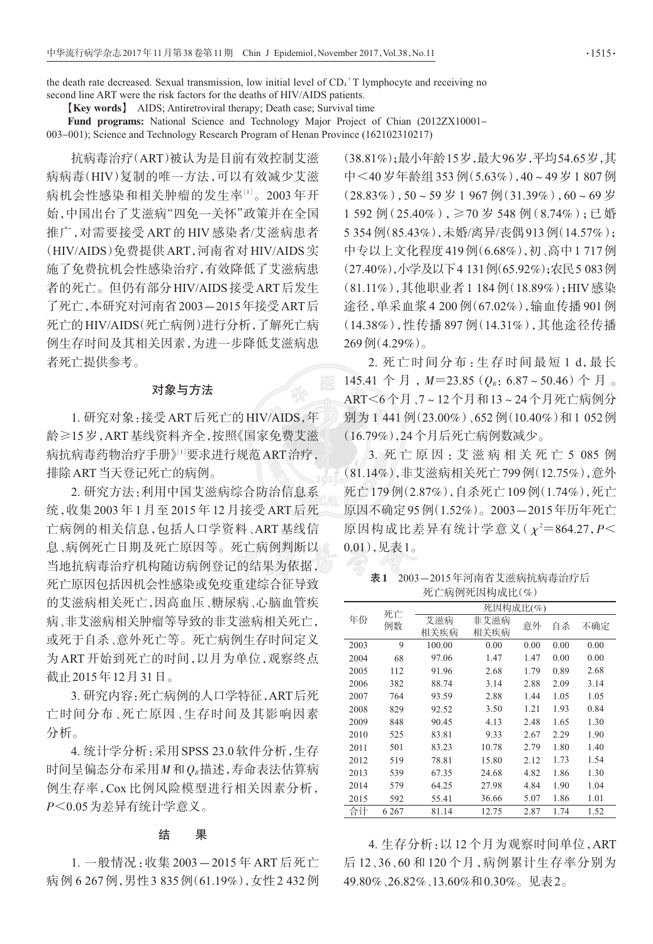the death rate decreased. Sexual transmission, low initial level of  $CD<sub>4</sub><sup>+</sup>T$  lymphocyte and receiving no second line ART were the risk factors for the deaths of HIV/AIDS patients.

[Key words] AIDS; Antiretroviral therapy; Death case; Survival time

Fund programs: National Science and Technology Major Project of Chian (2012ZX10001-

003-001); Science and Technology Research Program of Henan Province (162102310217)

抗病毒治疗(ART)被认为是目前有效控制艾滋 病病毒(HIV)复制的唯一方法,可以有效减少艾滋 病机会性感染和相关肿瘤的发生率[1]。2003年开 始,中国出台了艾滋病"四免一关怀"政策并在全国 推广,对需要接受ART的HIV感染者/艾滋病患者 (HIV/AIDS)免费提供ART,河南省对HIV/AIDS实 施了免费抗机会性感染治疗,有效降低了艾滋病患 者的死亡。但仍有部分HIV/AIDS接受ART后发生 了死亡,本研究对河南省2003-2015年接受ART后 死亡的HIV/AIDS(死亡病例)进行分析,了解死亡病 例生存时间及其相关因素,为进一步降低艾滋病患 者死亡提供参考。

## 对象与方法

1. 研究对象:接受ART后死亡的HIV/AIDS,年 龄≥15岁,ART基线资料齐全,按照《国家免费艾滋 病抗病毒药物治疗手册》[1]要求进行规范ART治疗, 排除 ART 当天登记死亡的病例。

2. 研究方法: 利用中国艾滋病综合防治信息系 统,收集2003年1月至2015年12月接受ART后死 亡病例的相关信息,包括人口学资料、ART基线信 息、病例死亡日期及死亡原因等。死亡病例判断以 当地抗病毒治疗机构随访病例登记的结果为依据, 死亡原因包括因机会性感染或免疫重建综合征导致 的艾滋病相关死亡,因高血压、糖尿病、心脑血管疾 病、非艾滋病相关肿瘤等导致的非艾滋病相关死亡, 或死于自杀、意外死亡等。死亡病例生存时间定义 为ART开始到死亡的时间,以月为单位,观察终点 截止2015年12月31日。

3. 研究内容:死亡病例的人口学特征, ART 后死 亡时间分布、死亡原因、生存时间及其影响因素 分析。

4. 统计学分析: 采用 SPSS 23.0 软件分析, 生存 时间呈偏态分布采用M和Q<sub>R</sub>描述,寿命表法估算病 例生存率, Cox 比例风险模型进行相关因素分析, P<0.05为差异有统计学意义。

#### 结 果

1. 一般情况:收集2003-2015年ART后死亡 病例 6 267例, 男性 3 835例(61.19%), 女性 2 432例 (38.81%);最小年龄15岁,最大96岁,平均54.65岁,其 中<40岁年龄组353例(5.63%),40~49岁1807例  $(28.83\%)$ , 50~59岁1967例 $(31.39\%)$ , 60~69岁 1 592 例 (25.40%), ≥70 岁 548 例 (8.74%); 已婚 5 354 例(85.43%),未婚/离异/丧偶913 例(14.57%); 中专以上文化程度419例(6.68%),初、高中1717例 (27.40%),小学及以下4131例(65.92%);农民5083例 (81.11%), 其他职业者1 184例(18.89%); HIV 感染 途径,单采血浆4200例(67.02%),输血传播901例 (14.38%),性传播897例(14.31%),其他途径传播  $269\ln(4.29\%)$ 。

2. 死亡时间分布:生存时间最短1d,最长 145.41 个月,  $M=23.85$  ( $Q_R$ : 6.87~50.46) 个月。 ART<6个月、7~12个月和13~24个月死亡病例分 别为1441例(23.00%)、652例(10.40%)和1052例 (16.79%),24个月后死亡病例数减少。

3. 死亡原因: 艾滋病相关死亡 5 085 例 (81.14%),非艾滋病相关死亡799例(12.75%),意外 死亡179例(2.87%),自杀死亡109例(1.74%),死亡 原因不确定95例(1.52%)。2003-2015年历年死亡 原因构成比差异有统计学意义 $(y^2=864.27, P\leq$  $(0.01)$ ,见表 $1<sub>o</sub>$ 

表1 2003-2015年河南省艾滋病抗病毒治疗后 死亡病例死因构成比(%)

| 年份   | 死亡<br>例数 | 死因构成比(%)    |              |      |      |      |  |
|------|----------|-------------|--------------|------|------|------|--|
|      |          | 艾滋病<br>相关疾病 | 非艾滋病<br>相关疾病 | 意外   | 自杀   | 不确定  |  |
| 2003 | 9        | 100.00      | 0.00         | 0.00 | 0.00 | 0.00 |  |
| 2004 | 68       | 97.06       | 1.47         | 1.47 | 0.00 | 0.00 |  |
| 2005 | 112      | 91.96       | 2.68         | 1.79 | 0.89 | 2.68 |  |
| 2006 | 382      | 88.74       | 3.14         | 2.88 | 2.09 | 3.14 |  |
| 2007 | 764      | 93.59       | 2.88         | 1.44 | 1.05 | 1.05 |  |
| 2008 | 829      | 92.52       | 3.50         | 1.21 | 1.93 | 0.84 |  |
| 2009 | 848      | 90.45       | 4.13         | 2.48 | 1.65 | 1.30 |  |
| 2010 | 525      | 83.81       | 9.33         | 2.67 | 2.29 | 1.90 |  |
| 2011 | 501      | 83.23       | 10.78        | 2.79 | 1.80 | 1.40 |  |
| 2012 | 519      | 78.81       | 15.80        | 2.12 | 1.73 | 1.54 |  |
| 2013 | 539      | 67.35       | 24.68        | 4.82 | 1.86 | 1.30 |  |
| 2014 | 579      | 64.25       | 27.98        | 4.84 | 1.90 | 1.04 |  |
| 2015 | 592      | 55.41       | 36.66        | 5.07 | 1.86 | 1.01 |  |
| 合计   | 6 2 6 7  | 81.14       | 12.75        | 2.87 | 1.74 | 1.52 |  |

4. 生存分析: 以12个月为观察时间单位, ART 后12、36、60和120个月, 病例累计生存率分别为 49.80%、26.82%、13.60%和0.30%。见表2。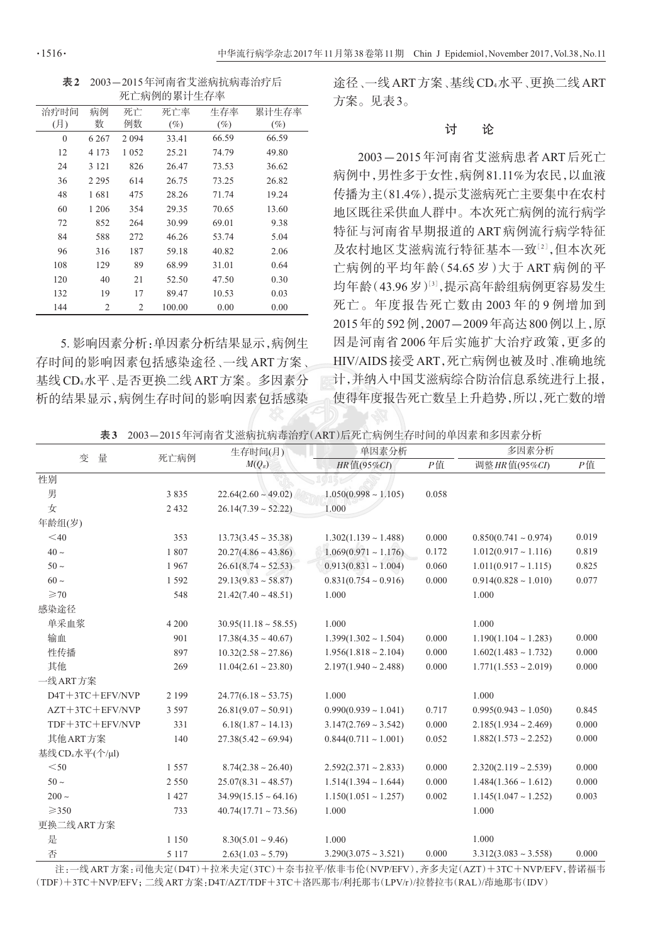表 2 2003-2015年河南省艾滋病抗病毒治疗后 死亡病例的累计生存率

| 治疗时间         | 病例      | 死亡      | 死亡率    | 生存率   | 累计生存率 |  |
|--------------|---------|---------|--------|-------|-------|--|
| (月)          | 数       | 例数      | (%)    | (%)   | (%)   |  |
| $\mathbf{0}$ | 6 2 6 7 | 2094    | 33.41  | 66.59 | 66.59 |  |
| 12           | 4 1 7 3 | 1 0 5 2 | 25.21  | 74.79 | 49.80 |  |
| 24           | 3 1 2 1 | 826     | 26.47  | 73.53 | 36.62 |  |
| 36           | 2 2 9 5 | 614     | 26.75  | 73.25 | 26.82 |  |
| 48           | 1681    | 475     | 28.26  | 71.74 | 19.24 |  |
| 60           | 1 2 0 6 | 354     | 29.35  | 70.65 | 13.60 |  |
| 72           | 852     | 264     | 30.99  | 69.01 | 9.38  |  |
| 84           | 588     | 272     | 46.26  | 53.74 | 5.04  |  |
| 96           | 316     | 187     | 59.18  | 40.82 | 2.06  |  |
| 108          | 129     | 89      | 68.99  | 31.01 | 0.64  |  |
| 120          | 40      | 21      | 52.50  | 47.50 | 0.30  |  |
| 132          | 19      | 17      | 89.47  | 10.53 | 0.03  |  |
| 144          | 2       | 2       | 100.00 | 0.00  | 0.00  |  |

5. 影响因素分析:单因素分析结果显示,病例生 存时间的影响因素包括感染途径、一线ART方案、 基线CD4水平、是否更换二线ART方案。多因素分 析的结果显示,病例生存时间的影响因素包括感染 途径、一线 ART 方案、基线 CD4水平、更换二线 ART 方案。见表3。

#### 计 论

2003-2015年河南省艾滋病患者 ART 后死亡 病例中,男性多于女性,病例81.11%为农民,以血液 传播为主(81.4%),提示艾滋病死亡主要集中在农村 地区既往采供血人群中。本次死亡病例的流行病学 特征与河南省早期报道的ART病例流行病学特征 及农村地区艾滋病流行特征基本一致[2],但本次死 亡病例的平均年龄(54.65岁)大于 ART 病例的平 均年龄(43.96岁)[3], 提示高年龄组病例更容易发生 死亡。年度报告死亡数由2003年的9例增加到 2015年的592例,2007-2009年高达800例以上,原 因是河南省2006年后实施扩大治疗政策,更多的 HIV/AIDS 接受 ART, 死亡病例也被及时、准确地统 计,并纳入中国艾滋病综合防治信息系统进行上报, 使得年度报告死亡数呈上升趋势,所以,死亡数的增

表3 2003-2015年河南省艾滋病抗病毒治疗(ART)后死亡病例生存时间的单因素和多因素分析

| 量                           | 死亡病例    | 生存时间(月)<br>$M(Q_R)$         | 单因素分析                     |       | 多因素分析                     |       |
|-----------------------------|---------|-----------------------------|---------------------------|-------|---------------------------|-------|
| 变                           |         |                             | HR值(95%CI)                | P值    | 调整 HR 值(95%CI)            | P值    |
| 性别                          |         |                             |                           |       |                           |       |
| 男                           | 3835    | $22.64(2.60 \sim 49.02)$    | $1.050(0.998 \sim 1.105)$ | 0.058 |                           |       |
| 女                           | 2 4 3 2 | $26.14(7.39 \sim 52.22)$    | 1.000                     |       |                           |       |
| 年龄组(岁)                      |         |                             |                           |       |                           |       |
| $<$ 40                      | 353     | $13.73(3.45 \approx 35.38)$ | $1.302(1.139 \sim 1.488)$ | 0.000 | $0.850(0.741 \sim 0.974)$ | 0.019 |
| $40 \sim$                   | 1807    | $20.27(4.86 \sim 43.86)$    | $1.069(0.971 \sim 1.176)$ | 0.172 | $1.012(0.917 \sim 1.116)$ | 0.819 |
| $50 -$                      | 1967    | $26.61(8.74 \sim 52.53)$    | $0.913(0.831 - 1.004)$    | 0.060 | $1.011(0.917 - 1.115)$    | 0.825 |
| $60 \sim$                   | 1 5 9 2 | $29.13(9.83 \sim 58.87)$    | $0.831(0.754 \sim 0.916)$ | 0.000 | $0.914(0.828 \sim 1.010)$ | 0.077 |
| $\geq 70$                   | 548     | $21.42(7.40 \sim 48.51)$    | 1.000                     |       | 1.000                     |       |
| 感染途径                        |         |                             |                           |       |                           |       |
| 单采血浆                        | 4 2 0 0 | $30.95(11.18 \sim 58.55)$   | 1.000                     |       | 1.000                     |       |
| 输血                          | 901     | $17.38(4.35 \sim 40.67)$    | $1.399(1.302 \sim 1.504)$ | 0.000 | $1.190(1.104 \sim 1.283)$ | 0.000 |
| 性传播                         | 897     | $10.32(2.58 \sim 27.86)$    | $1.956(1.818 \sim 2.104)$ | 0.000 | $1.602(1.483 \sim 1.732)$ | 0.000 |
| 其他                          | 269     | $11.04(2.61 \approx 23.80)$ | $2.197(1.940 \sim 2.488)$ | 0.000 | $1.771(1.553 \sim 2.019)$ | 0.000 |
| 一线 ART 方案                   |         |                             |                           |       |                           |       |
| D4T+3TC+EFV/NVP             | 2 1 9 9 | $24.77(6.18 \approx 53.75)$ | 1.000                     |       | 1.000                     |       |
| $AZT+3TC+EFV/NVP$           | 3 5 9 7 | $26.81(9.07 \sim 50.91)$    | $0.990(0.939 \sim 1.041)$ | 0.717 | $0.995(0.943 \sim 1.050)$ | 0.845 |
| TDF+3TC+EFV/NVP             | 331     | $6.18(1.87 \sim 14.13)$     | $3.147(2.769 \sim 3.542)$ | 0.000 | $2.185(1.934 \sim 2.469)$ | 0.000 |
| 其他ART方案                     | 140     | $27.38(5.42 \approx 69.94)$ | $0.844(0.711 \sim 1.001)$ | 0.052 | $1.882(1.573 \sim 2.252)$ | 0.000 |
| 基线 CD <sub>4</sub> 水平(个/μl) |         |                             |                           |       |                           |       |
| $<$ 50                      | 1557    | $8.74(2.38 \sim 26.40)$     | $2.592(2.371 \sim 2.833)$ | 0.000 | $2.320(2.119 \sim 2.539)$ | 0.000 |
| $50 \sim$                   | 2 5 5 0 | $25.07(8.31 \sim 48.57)$    | $1.514(1.394 \sim 1.644)$ | 0.000 | $1.484(1.366 \sim 1.612)$ | 0.000 |
| $200 \sim$                  | 1427    | $34.99(15.15 \sim 64.16)$   | $1.150(1.051 \sim 1.257)$ | 0.002 | $1.145(1.047 \sim 1.252)$ | 0.003 |
| $\geq 350$                  | 733     | $40.74(17.71 \sim 73.56)$   | 1.000                     |       | 1.000                     |       |
| 更换二线 ART 方案                 |         |                             |                           |       |                           |       |
| 是                           | 1 1 5 0 | $8.30(5.01 \sim 9.46)$      | 1.000                     |       | 1.000                     |       |
| 否                           | 5 1 1 7 | $2.63(1.03 \sim 5.79)$      | $3.290(3.075 \sim 3.521)$ | 0.000 | $3.312(3.083 \sim 3.558)$ | 0.000 |

注:一线ART方案:司他夫定(D4T)+拉米夫定(3TC)+奈韦拉平/依非韦伦(NVP/EFV),齐多夫定(AZT)+3TC+NVP/EFV,替诺福韦 (TDF)+3TC+NVP/EFV; 二线ART方案:D4T/AZT/TDF+3TC+洛匹那韦/利托那韦(LPV/r)/拉替拉韦(RAL)/茚地那韦(IDV)